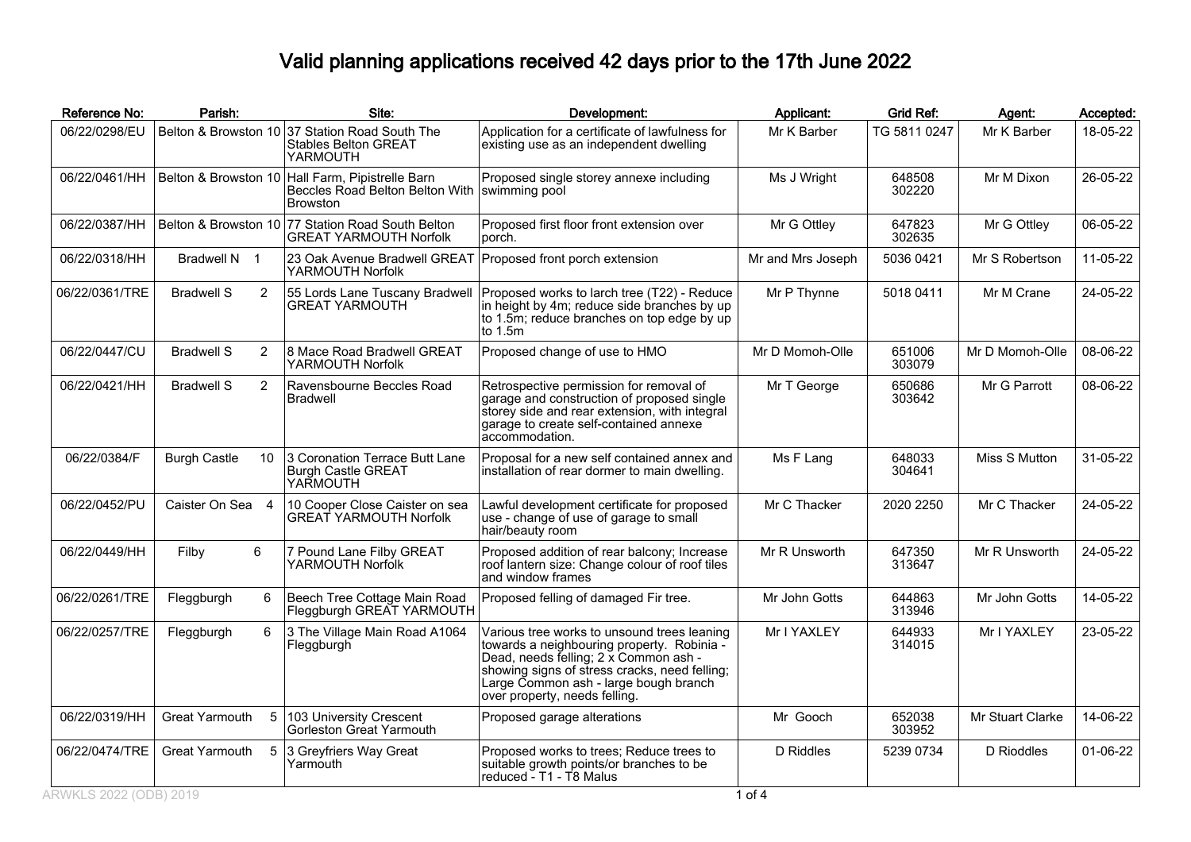## Valid planning applications received 42 days prior to the 17th June 2022

| Reference No:  | Parish:                   | Site:                                                                                     | Development:                                                                                                                                                                                                                                                  | Applicant:        | <b>Grid Ref:</b> | Agent:           | Accepted: |
|----------------|---------------------------|-------------------------------------------------------------------------------------------|---------------------------------------------------------------------------------------------------------------------------------------------------------------------------------------------------------------------------------------------------------------|-------------------|------------------|------------------|-----------|
| 06/22/0298/EU  |                           | Belton & Browston 10 37 Station Road South The<br><b>Stables Belton GREAT</b><br>YARMOUTH | Application for a certificate of lawfulness for<br>existing use as an independent dwelling                                                                                                                                                                    | Mr K Barber       | TG 5811 0247     | Mr K Barber      | 18-05-22  |
| 06/22/0461/HH  | Belton & Browston 10      | Hall Farm, Pipistrelle Barn<br>Beccles Road Belton Belton With<br><b>Browston</b>         | Proposed single storey annexe including<br>swimming pool                                                                                                                                                                                                      | Ms J Wright       | 648508<br>302220 | Mr M Dixon       | 26-05-22  |
| 06/22/0387/HH  |                           | Belton & Browston 10 77 Station Road South Belton<br><b>GREAT YARMOUTH Norfolk</b>        | Proposed first floor front extension over<br>porch.                                                                                                                                                                                                           | Mr G Ottley       | 647823<br>302635 | Mr G Ottley      | 06-05-22  |
| 06/22/0318/HH  | Bradwell N 1              | 23 Oak Avenue Bradwell GREAT<br>YARMOUTH Norfolk                                          | Proposed front porch extension                                                                                                                                                                                                                                | Mr and Mrs Joseph | 5036 0421        | Mr S Robertson   | 11-05-22  |
| 06/22/0361/TRE | <b>Bradwell S</b><br>2    | 55 Lords Lane Tuscany Bradwell<br><b>GREAT YARMOUTH</b>                                   | Proposed works to larch tree (T22) - Reduce<br>in height by 4m; reduce side branches by up<br>to 1.5m; reduce branches on top edge by up<br>to 1.5m                                                                                                           | Mr P Thynne       | 5018 0411        | Mr M Crane       | 24-05-22  |
| 06/22/0447/CU  | <b>Bradwell S</b><br>2    | 8 Mace Road Bradwell GREAT<br>YARMOUTH Norfolk                                            | Proposed change of use to HMO                                                                                                                                                                                                                                 | Mr D Momoh-Olle   | 651006<br>303079 | Mr D Momoh-Olle  | 08-06-22  |
| 06/22/0421/HH  | 2<br><b>Bradwell S</b>    | Ravensbourne Beccles Road<br><b>Bradwell</b>                                              | Retrospective permission for removal of<br>garage and construction of proposed single<br>storey side and rear extension, with integral<br>garage to create self-contained annexe<br>accommodation.                                                            | Mr T George       | 650686<br>303642 | Mr G Parrott     | 08-06-22  |
| 06/22/0384/F   | <b>Burgh Castle</b><br>10 | 3 Coronation Terrace Butt Lane<br><b>Burgh Castle GREAT</b><br>YARMOUTH                   | Proposal for a new self contained annex and<br>installation of rear dormer to main dwelling.                                                                                                                                                                  | Ms F Lang         | 648033<br>304641 | Miss S Mutton    | 31-05-22  |
| 06/22/0452/PU  | Caister On Sea 4          | 10 Cooper Close Caister on sea<br><b>GREAT YARMOUTH Norfolk</b>                           | Lawful development certificate for proposed<br>use - change of use of garage to small<br>hair/beauty room                                                                                                                                                     | Mr C Thacker      | 2020 2250        | Mr C Thacker     | 24-05-22  |
| 06/22/0449/HH  | 6<br>Filby                | 7 Pound Lane Filby GREAT<br>YARMOUTH Norfolk                                              | Proposed addition of rear balcony; Increase<br>roof lantern size: Change colour of roof tiles<br>and window frames                                                                                                                                            | Mr R Unsworth     | 647350<br>313647 | Mr R Unsworth    | 24-05-22  |
| 06/22/0261/TRE | Fleggburgh<br>6           | Beech Tree Cottage Main Road<br>Fleggburgh GREAT YARMOUTH                                 | Proposed felling of damaged Fir tree.                                                                                                                                                                                                                         | Mr John Gotts     | 644863<br>313946 | Mr John Gotts    | 14-05-22  |
| 06/22/0257/TRE | 6<br>Fleggburgh           | 3 The Village Main Road A1064<br>Fleggburgh                                               | Various tree works to unsound trees leaning<br>towards a neighbouring property. Robinia -<br>Dead, needs felling; 2 x Common ash -<br>showing signs of stress cracks, need felling;<br>Large Common ash - large bough branch<br>over property, needs felling. | Mr I YAXLEY       | 644933<br>314015 | Mr I YAXLEY      | 23-05-22  |
| 06/22/0319/HH  | Great Yarmouth            | 5 103 University Crescent<br>Gorleston Great Yarmouth                                     | Proposed garage alterations                                                                                                                                                                                                                                   | Mr Gooch          | 652038<br>303952 | Mr Stuart Clarke | 14-06-22  |
| 06/22/0474/TRE | Great Yarmouth            | 5 3 Greyfriers Way Great<br>Yarmouth                                                      | Proposed works to trees; Reduce trees to<br>suitable growth points/or branches to be<br>reduced - T1 - T8 Malus                                                                                                                                               | D Riddles         | 5239 0734        | D Rioddles       | 01-06-22  |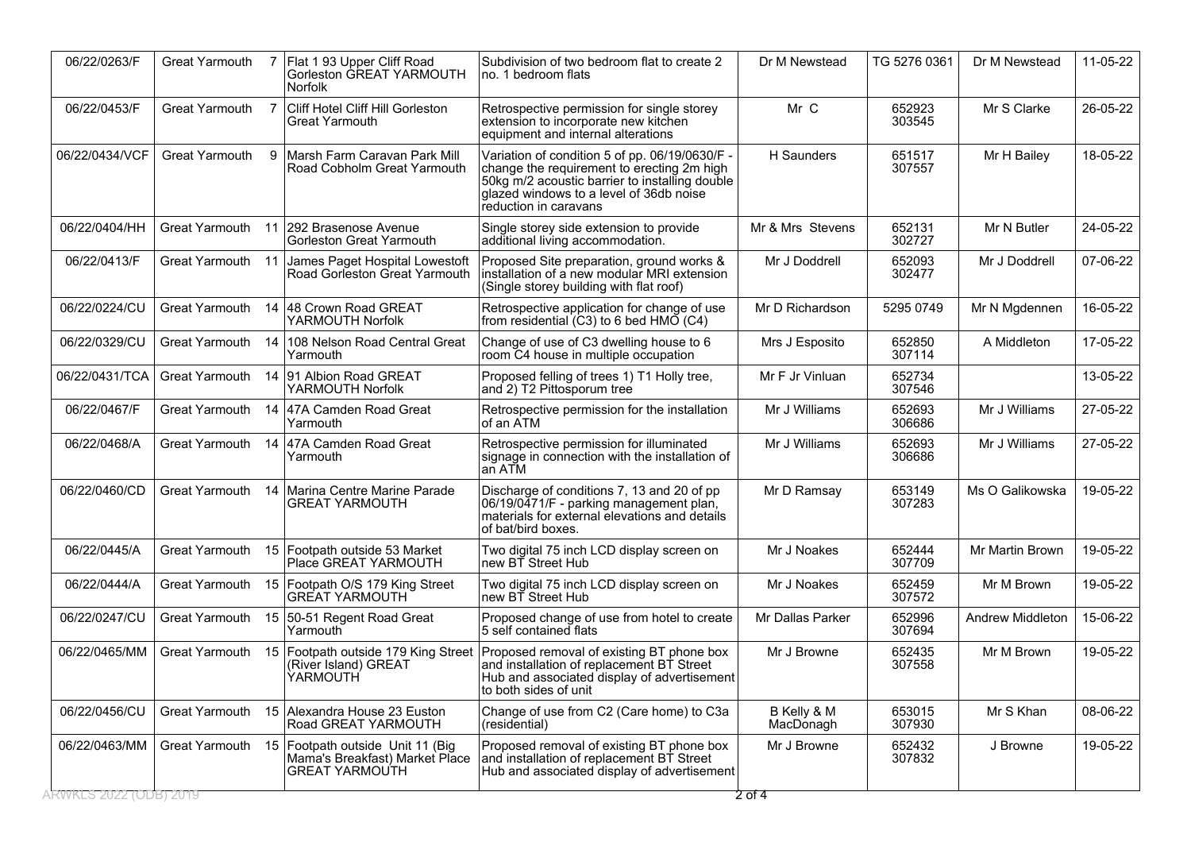| 06/22/0263/F                        | <b>Great Yarmouth</b> |    | Flat 193 Upper Cliff Road<br>Gorleston GREAT YARMOUTH<br><b>Norfolk</b>                     | Subdivision of two bedroom flat to create 2<br>no. 1 bedroom flats                                                                                                                                                 | Dr M Newstead            | TG 5276 0361     | Dr M Newstead    | 11-05-22 |
|-------------------------------------|-----------------------|----|---------------------------------------------------------------------------------------------|--------------------------------------------------------------------------------------------------------------------------------------------------------------------------------------------------------------------|--------------------------|------------------|------------------|----------|
| 06/22/0453/F                        | Great Yarmouth        |    | Cliff Hotel Cliff Hill Gorleston<br>Great Yarmouth                                          | Retrospective permission for single storey<br>extension to incorporate new kitchen<br>equipment and internal alterations                                                                                           | Mr C                     | 652923<br>303545 | Mr S Clarke      | 26-05-22 |
| 06/22/0434/VCF                      | <b>Great Yarmouth</b> | 9  | Marsh Farm Caravan Park Mill<br>Road Cobholm Great Yarmouth                                 | Variation of condition 5 of pp. 06/19/0630/F -<br>change the requirement to erecting 2m high<br>50kg m/2 acoustic barrier to installing double<br>glazed windows to a level of 36db noise<br>reduction in caravans | H Saunders               | 651517<br>307557 | Mr H Bailey      | 18-05-22 |
| 06/22/0404/HH                       | Great Yarmouth        |    | 11 292 Brasenose Avenue<br><b>Gorleston Great Yarmouth</b>                                  | Single storey side extension to provide<br>additional living accommodation.                                                                                                                                        | Mr & Mrs Stevens         | 652131<br>302727 | Mr N Butler      | 24-05-22 |
| 06/22/0413/F                        | Great Yarmouth 11     |    | James Paget Hospital Lowestoft<br>Road Gorleston Great Yarmouth                             | Proposed Site preparation, ground works &<br>installation of a new modular MRI extension<br>(Single storey building with flat roof)                                                                                | Mr J Doddrell            | 652093<br>302477 | Mr J Doddrell    | 07-06-22 |
| 06/22/0224/CU                       | <b>Great Yarmouth</b> | 14 | 48 Crown Road GREAT<br>YARMOUTH Norfolk                                                     | Retrospective application for change of use<br>from residential (C3) to 6 bed HMO (C4)                                                                                                                             | Mr D Richardson          | 5295 0749        | Mr N Mgdennen    | 16-05-22 |
| 06/22/0329/CU                       | <b>Great Yarmouth</b> | 14 | 108 Nelson Road Central Great<br>Yarmouth                                                   | Change of use of C3 dwelling house to 6<br>room C4 house in multiple occupation                                                                                                                                    | Mrs J Esposito           | 652850<br>307114 | A Middleton      | 17-05-22 |
| 06/22/0431/TCA                      | Great Yarmouth        |    | 14 91 Albion Road GREAT<br>YARMOUTH Norfolk                                                 | Proposed felling of trees 1) T1 Holly tree,<br>and 2) T2 Pittosporum tree                                                                                                                                          | Mr F Jr Vinluan          | 652734<br>307546 |                  | 13-05-22 |
| 06/22/0467/F                        | Great Yarmouth        |    | 14 47A Camden Road Great<br>Yarmouth                                                        | Retrospective permission for the installation<br>of an ATM                                                                                                                                                         | Mr J Williams            | 652693<br>306686 | Mr J Williams    | 27-05-22 |
| 06/22/0468/A                        | Great Yarmouth        |    | 14 47A Camden Road Great<br>Yarmouth                                                        | Retrospective permission for illuminated<br>signage in connection with the installation of<br>an ATM                                                                                                               | Mr J Williams            | 652693<br>306686 | Mr J Williams    | 27-05-22 |
| 06/22/0460/CD                       | Great Yarmouth        |    | 14   Marina Centre Marine Parade<br><b>GREAT YARMOUTH</b>                                   | Discharge of conditions 7, 13 and 20 of pp<br>06/19/0471/F - parking management plan,<br>materials for external elevations and details<br>of bat/bird boxes.                                                       | Mr D Ramsay              | 653149<br>307283 | Ms O Galikowska  | 19-05-22 |
| 06/22/0445/A                        | Great Yarmouth        |    | 15 Footpath outside 53 Market<br>Place GREAT YARMOUTH                                       | Two digital 75 inch LCD display screen on<br>new BT Street Hub                                                                                                                                                     | Mr J Noakes              | 652444<br>307709 | Mr Martin Brown  | 19-05-22 |
| 06/22/0444/A                        | Great Yarmouth        |    | 15 Footpath O/S 179 King Street<br>GREAT YARMOUTH                                           | Two digital 75 inch LCD display screen on<br>new BT Street Hub                                                                                                                                                     | Mr J Noakes              | 652459<br>307572 | Mr M Brown       | 19-05-22 |
| 06/22/0247/CU                       | Great Yarmouth        |    | 15 50-51 Regent Road Great<br>Yarmouth                                                      | Proposed change of use from hotel to create<br>5 self contained flats                                                                                                                                              | Mr Dallas Parker         | 652996<br>307694 | Andrew Middleton | 15-06-22 |
| 06/22/0465/MM                       | Great Yarmouth        | 15 | (River Island) GREAT<br><b>YARMOUTH</b>                                                     | Footpath outside 179 King Street   Proposed removal of existing BT phone box<br>and installation of replacement BT Street<br>Hub and associated display of advertisement<br>to both sides of unit                  | Mr J Browne              | 652435<br>307558 | Mr M Brown       | 19-05-22 |
| 06/22/0456/CU                       | Great Yarmouth        |    | 15 Alexandra House 23 Euston<br>Road GREAT YARMOUTH                                         | Change of use from C2 (Care home) to C3a<br>(residential)                                                                                                                                                          | B Kelly & M<br>MacDonagh | 653015<br>307930 | Mr S Khan        | 08-06-22 |
| 06/22/0463/MM                       | Great Yarmouth        |    | 15 Footpath outside Unit 11 (Big<br>Mama's Breakfast) Market Place<br><b>GREAT YARMOUTH</b> | Proposed removal of existing BT phone box<br>and installation of replacement BT Street<br>Hub and associated display of advertisement                                                                              | Mr J Browne              | 652432<br>307832 | J Browne         | 19-05-22 |
| \RWKLS <sup>-</sup> 2022 (ODB) 2019 |                       |    |                                                                                             |                                                                                                                                                                                                                    | 2 ठा 4                   |                  |                  |          |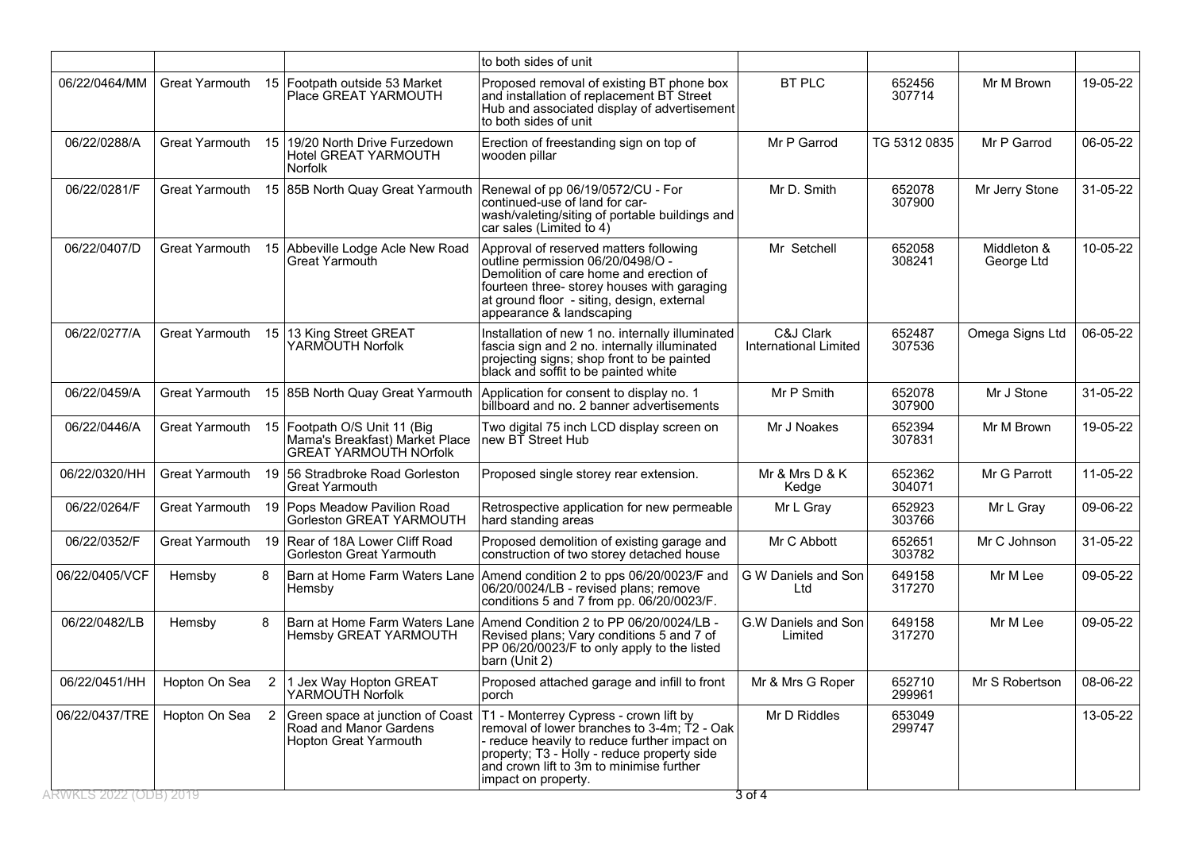|                |                       |    |                                                                                                 | to both sides of unit                                                                                                                                                                                                                                   |                                    |                  |                           |                |
|----------------|-----------------------|----|-------------------------------------------------------------------------------------------------|---------------------------------------------------------------------------------------------------------------------------------------------------------------------------------------------------------------------------------------------------------|------------------------------------|------------------|---------------------------|----------------|
| 06/22/0464/MM  | <b>Great Yarmouth</b> | 15 | Footpath outside 53 Market<br>Place GREAT YARMOUTH                                              | Proposed removal of existing BT phone box<br>and installation of replacement BT Street<br>Hub and associated display of advertisement<br>to both sides of unit                                                                                          | <b>BT PLC</b>                      | 652456<br>307714 | Mr M Brown                | 19-05-22       |
| 06/22/0288/A   | Great Yarmouth        | 15 | 19/20 North Drive Furzedown<br>Hotel GREAT YARMOUTH<br><b>Norfolk</b>                           | Erection of freestanding sign on top of<br>wooden pillar                                                                                                                                                                                                | Mr P Garrod                        | TG 5312 0835     | Mr P Garrod               | 06-05-22       |
| 06/22/0281/F   | Great Yarmouth        |    | 15 85B North Quay Great Yarmouth                                                                | Renewal of pp 06/19/0572/CU - For<br>continued-use of land for car-<br>wash/valeting/siting of portable buildings and<br>car sales (Limited to 4)                                                                                                       | Mr D. Smith                        | 652078<br>307900 | Mr Jerry Stone            | 31-05-22       |
| 06/22/0407/D   | Great Yarmouth        |    | 15 Abbeville Lodge Acle New Road<br><b>Great Yarmouth</b>                                       | Approval of reserved matters following<br>outline permission 06/20/0498/O -<br>Demolition of care home and erection of<br>fourteen three- storey houses with garaging<br>at ground floor - siting, design, external<br>appearance & landscaping         | Mr Setchell                        | 652058<br>308241 | Middleton &<br>George Ltd | 10-05-22       |
| 06/22/0277/A   | Great Yarmouth        |    | 15 13 King Street GREAT<br>YARMOUTH Norfolk                                                     | Installation of new 1 no. internally illuminated<br>fascia sign and 2 no. internally illuminated<br>projecting signs; shop front to be painted<br>black and soffit to be painted white                                                                  | C&J Clark<br>International Limited | 652487<br>307536 | Omega Signs Ltd           | 06-05-22       |
| 06/22/0459/A   | <b>Great Yarmouth</b> |    | 15 85B North Quay Great Yarmouth                                                                | Application for consent to display no. 1<br>billboard and no. 2 banner advertisements                                                                                                                                                                   | Mr P Smith                         | 652078<br>307900 | Mr J Stone                | 31-05-22       |
| 06/22/0446/A   | <b>Great Yarmouth</b> |    | 15 Footpath O/S Unit 11 (Big<br>Mama's Breakfast) Market Place<br><b>GREAT YARMOUTH NOrfolk</b> | Two digital 75 inch LCD display screen on<br>new BT Street Hub                                                                                                                                                                                          | Mr J Noakes                        | 652394<br>307831 | Mr M Brown                | 19-05-22       |
| 06/22/0320/HH  | Great Yarmouth        | 19 | 56 Stradbroke Road Gorleston<br>Great Yarmouth                                                  | Proposed single storey rear extension.                                                                                                                                                                                                                  | Mr & Mrs D & K<br>Kedge            | 652362<br>304071 | Mr G Parrott              | 11-05-22       |
| 06/22/0264/F   | <b>Great Yarmouth</b> | 19 | Pops Meadow Pavilion Road<br>Gorleston GREAT YARMOUTH                                           | Retrospective application for new permeable<br>hard standing areas                                                                                                                                                                                      | Mr L Gray                          | 652923<br>303766 | Mr L Gray                 | 09-06-22       |
| 06/22/0352/F   | <b>Great Yarmouth</b> | 19 | Rear of 18A Lower Cliff Road<br>Gorleston Great Yarmouth                                        | Proposed demolition of existing garage and<br>construction of two storey detached house                                                                                                                                                                 | Mr C Abbott                        | 652651<br>303782 | Mr C Johnson              | 31-05-22       |
| 06/22/0405/VCF | Hemsby                | 8  | Barn at Home Farm Waters Lane<br>Hemsby                                                         | Amend condition 2 to pps 06/20/0023/F and<br>06/20/0024/LB - revised plans; remove<br>conditions 5 and 7 from pp. 06/20/0023/F.                                                                                                                         | G W Daniels and Son<br>Ltd         | 649158<br>317270 | Mr M Lee                  | 09-05-22       |
| 06/22/0482/LB  | Hemsby                | 8  | Hemsby GREAT YARMOUTH                                                                           | Barn at Home Farm Waters Lane Amend Condition 2 to PP 06/20/0024/LB -<br>Revised plans; Vary conditions 5 and 7 of<br>PP 06/20/0023/F to only apply to the listed<br>barn (Unit 2)                                                                      | G.W Daniels and Son<br>Limited     | 649158<br>317270 | Mr M Lee                  | 09-05-22       |
| 06/22/0451/HH  | Hopton On Sea         |    | 2   1 Jex Way Hopton GREAT<br>YARMOUTH Norfolk                                                  | Proposed attached garage and infill to front<br>porch                                                                                                                                                                                                   | Mr & Mrs G Roper                   | 652710<br>299961 | Mr S Robertson            | 08-06-22       |
| 06/22/0437/TRE | Hopton On Sea 2       |    | Green space at junction of Coast<br>Road and Manor Gardens<br>Hopton Great Yarmouth             | T1 - Monterrey Cypress - crown lift by<br>removal of lower branches to 3-4m; T2 - Oak<br>- reduce heavily to reduce further impact on<br>property; T3 - Holly - reduce property side<br>and crown lift to 3m to minimise further<br>impact on property. | Mr D Riddles                       | 653049<br>299747 |                           | $13 - 05 - 22$ |